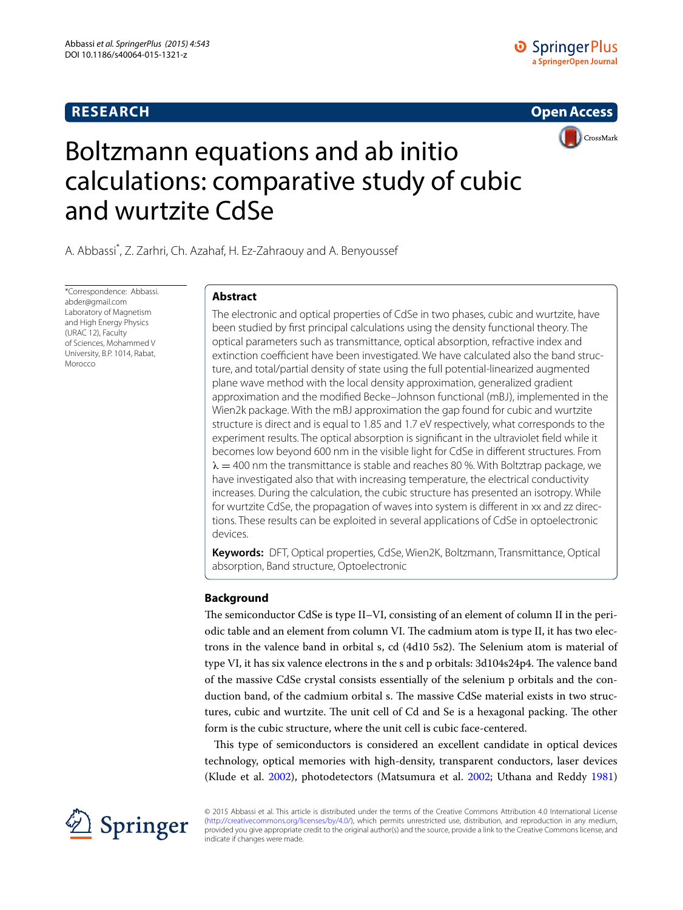## **RESEARCH**





# Boltzmann equations and ab initio calculations: comparative study of cubic and wurtzite CdSe

A. Abbassi\* , Z. Zarhri, Ch. Azahaf, H. Ez‑Zahraouy and A. Benyoussef

\*Correspondence: Abbassi. abder@gmail.com Laboratory of Magnetism and High Energy Physics (URAC 12), Faculty of Sciences, Mohammed V University, B.P. 1014, Rabat, Morocco

## **Abstract**

The electronic and optical properties of CdSe in two phases, cubic and wurtzite, have been studied by first principal calculations using the density functional theory. The optical parameters such as transmittance, optical absorption, refractive index and extinction coefficient have been investigated. We have calculated also the band structure, and total/partial density of state using the full potential-linearized augmented plane wave method with the local density approximation, generalized gradient approximation and the modified Becke–Johnson functional (mBJ), implemented in the Wien2k package. With the mBJ approximation the gap found for cubic and wurtzite structure is direct and is equal to 1.85 and 1.7 eV respectively, what corresponds to the experiment results. The optical absorption is significant in the ultraviolet field while it becomes low beyond 600 nm in the visible light for CdSe in different structures. From  $\lambda = 400$  nm the transmittance is stable and reaches 80 %. With Boltztrap package, we have investigated also that with increasing temperature, the electrical conductivity increases. During the calculation, the cubic structure has presented an isotropy. While for wurtzite CdSe, the propagation of waves into system is different in xx and zz directions. These results can be exploited in several applications of CdSe in optoelectronic devices.

**Keywords:** DFT, Optical properties, CdSe, Wien2K, Boltzmann, Transmittance, Optical absorption, Band structure, Optoelectronic

## **Background**

The semiconductor CdSe is type II–VI, consisting of an element of column II in the periodic table and an element from column VI. The cadmium atom is type II, it has two electrons in the valence band in orbital s, cd (4d10 5s2). The Selenium atom is material of type VI, it has six valence electrons in the s and p orbitals: 3d104s24p4. The valence band of the massive CdSe crystal consists essentially of the selenium p orbitals and the conduction band, of the cadmium orbital s. The massive CdSe material exists in two structures, cubic and wurtzite. The unit cell of Cd and Se is a hexagonal packing. The other form is the cubic structure, where the unit cell is cubic face-centered.

This type of semiconductors is considered an excellent candidate in optical devices technology, optical memories with high-density, transparent conductors, laser devices (Klude et al. [2002\)](#page-7-0), photodetectors (Matsumura et al. [2002;](#page-7-1) Uthana and Reddy [1981](#page-7-2))



© 2015 Abbassi et al. This article is distributed under the terms of the Creative Commons Attribution 4.0 International License [\(http://creativecommons.org/licenses/by/4.0/](http://creativecommons.org/licenses/by/4.0/)), which permits unrestricted use, distribution, and reproduction in any medium, provided you give appropriate credit to the original author(s) and the source, provide a link to the Creative Commons license, and indicate if changes were made.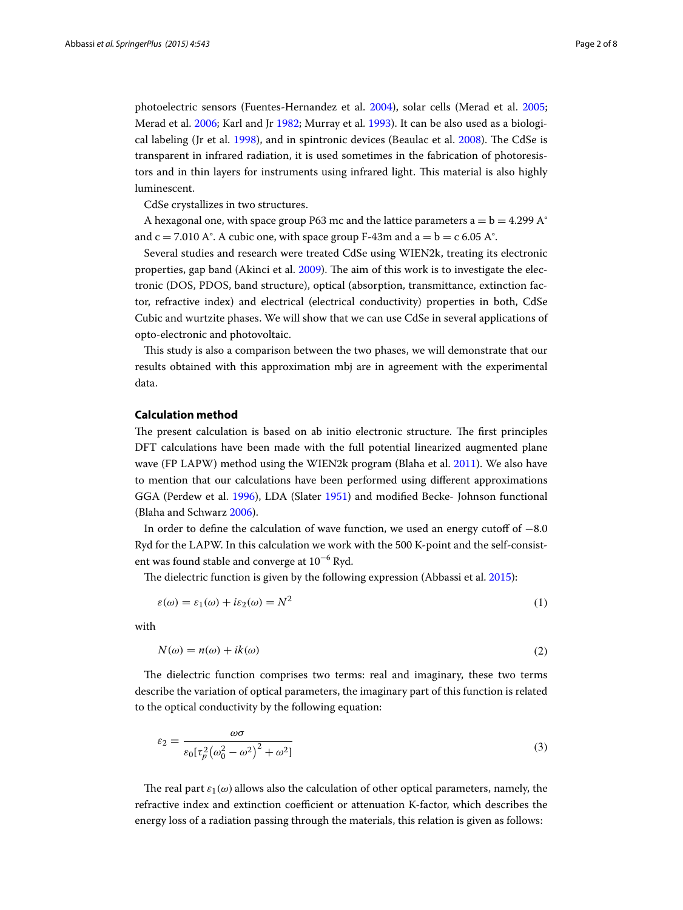photoelectric sensors (Fuentes-Hernandez et al. [2004](#page-7-3)), solar cells (Merad et al. [2005](#page-7-4); Merad et al. [2006](#page-7-5); Karl and Jr [1982;](#page-7-6) Murray et al. [1993](#page-7-7)). It can be also used as a biological labeling (Jr et al. [1998](#page-7-8)), and in spintronic devices (Beaulac et al. [2008\)](#page-7-9). The CdSe is transparent in infrared radiation, it is used sometimes in the fabrication of photoresistors and in thin layers for instruments using infrared light. This material is also highly luminescent.

CdSe crystallizes in two structures.

A hexagonal one, with space group P63 mc and the lattice parameters  $a = b = 4.299 A^{\circ}$ and  $c = 7.010$  A°. A cubic one, with space group F-43m and  $a = b = c$  6.05 A°.

Several studies and research were treated CdSe using WIEN2k, treating its electronic properties, gap band (Akinci et al. [2009](#page-7-10)). The aim of this work is to investigate the electronic (DOS, PDOS, band structure), optical (absorption, transmittance, extinction factor, refractive index) and electrical (electrical conductivity) properties in both, CdSe Cubic and wurtzite phases. We will show that we can use CdSe in several applications of opto-electronic and photovoltaic.

This study is also a comparison between the two phases, we will demonstrate that our results obtained with this approximation mbj are in agreement with the experimental data.

#### **Calculation method**

The present calculation is based on ab initio electronic structure. The first principles DFT calculations have been made with the full potential linearized augmented plane wave (FP LAPW) method using the WIEN2k program (Blaha et al. [2011](#page-7-11)). We also have to mention that our calculations have been performed using different approximations GGA (Perdew et al. [1996](#page-7-12)), LDA (Slater [1951](#page-7-13)) and modified Becke- Johnson functional (Blaha and Schwarz [2006\)](#page-7-14).

In order to define the calculation of wave function, we used an energy cutoff of −8.0 Ryd for the LAPW. In this calculation we work with the 500 K-point and the self-consistent was found stable and converge at 10−<sup>6</sup> Ryd.

The dielectric function is given by the following expression (Abbassi et al. [2015](#page-7-15)):

<span id="page-1-0"></span>
$$
\varepsilon(\omega) = \varepsilon_1(\omega) + i\varepsilon_2(\omega) = N^2 \tag{1}
$$

with

$$
N(\omega) = n(\omega) + ik(\omega)
$$
\n<sup>(2)</sup>

The dielectric function comprises two terms: real and imaginary, these two terms describe the variation of optical parameters, the imaginary part of this function is related to the optical conductivity by the following equation:

$$
\varepsilon_2 = \frac{\omega \sigma}{\varepsilon_0 [\tau_p^2 (\omega_0^2 - \omega^2)^2 + \omega^2]}
$$
\n(3)

The real part  $\varepsilon_1(\omega)$  allows also the calculation of other optical parameters, namely, the refractive index and extinction coefficient or attenuation K-factor, which describes the energy loss of a radiation passing through the materials, this relation is given as follows: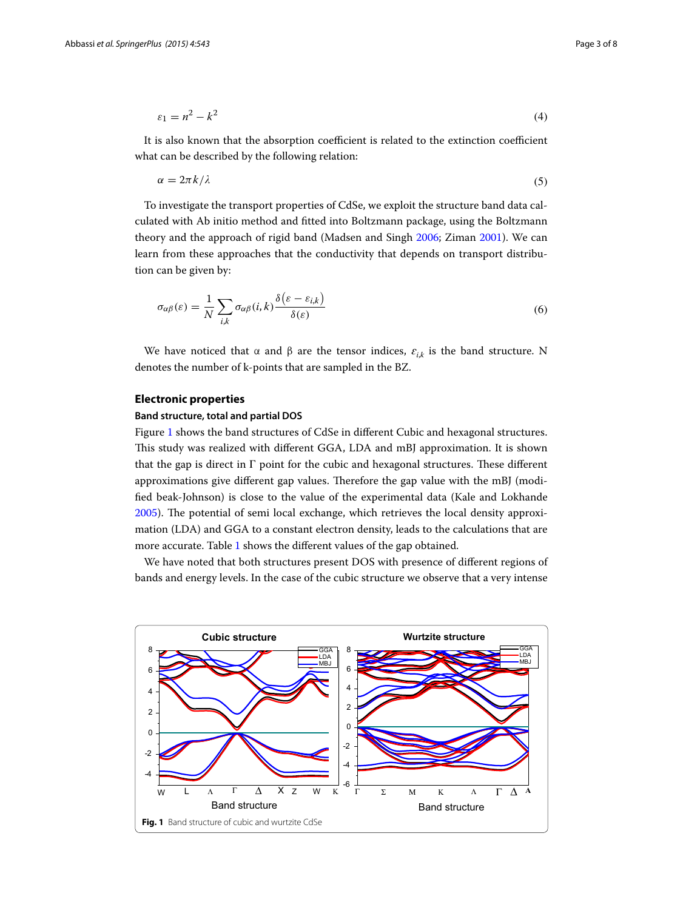$$
\varepsilon_1 = n^2 - k^2 \tag{4}
$$

It is also known that the absorption coefficient is related to the extinction coefficient what can be described by the following relation:

<span id="page-2-1"></span>
$$
\alpha = 2\pi k/\lambda \tag{5}
$$

To investigate the transport properties of CdSe, we exploit the structure band data calculated with Ab initio method and fitted into Boltzmann package, using the Boltzmann theory and the approach of rigid band (Madsen and Singh [2006;](#page-7-16) Ziman [2001\)](#page-7-17). We can learn from these approaches that the conductivity that depends on transport distribution can be given by:

$$
\sigma_{\alpha\beta}(\varepsilon) = \frac{1}{N} \sum_{i,k} \sigma_{\alpha\beta}(i,k) \frac{\delta(\varepsilon - \varepsilon_{i,k})}{\delta(\varepsilon)}
$$
(6)

We have noticed that  $\alpha$  and  $\beta$  are the tensor indices,  $\varepsilon_{i,k}$  is the band structure. N denotes the number of k-points that are sampled in the BZ.

## **Electronic properties**

#### **Band structure, total and partial DOS**

Figure [1](#page-2-0) shows the band structures of CdSe in different Cubic and hexagonal structures. This study was realized with different GGA, LDA and mBJ approximation. It is shown that the gap is direct in  $\Gamma$  point for the cubic and hexagonal structures. These different approximations give different gap values. Therefore the gap value with the mBJ (modified beak-Johnson) is close to the value of the experimental data (Kale and Lokhande [2005](#page-7-18)). The potential of semi local exchange, which retrieves the local density approximation (LDA) and GGA to a constant electron density, leads to the calculations that are more accurate. Table [1](#page-3-0) shows the different values of the gap obtained.

We have noted that both structures present DOS with presence of different regions of bands and energy levels. In the case of the cubic structure we observe that a very intense

<span id="page-2-0"></span>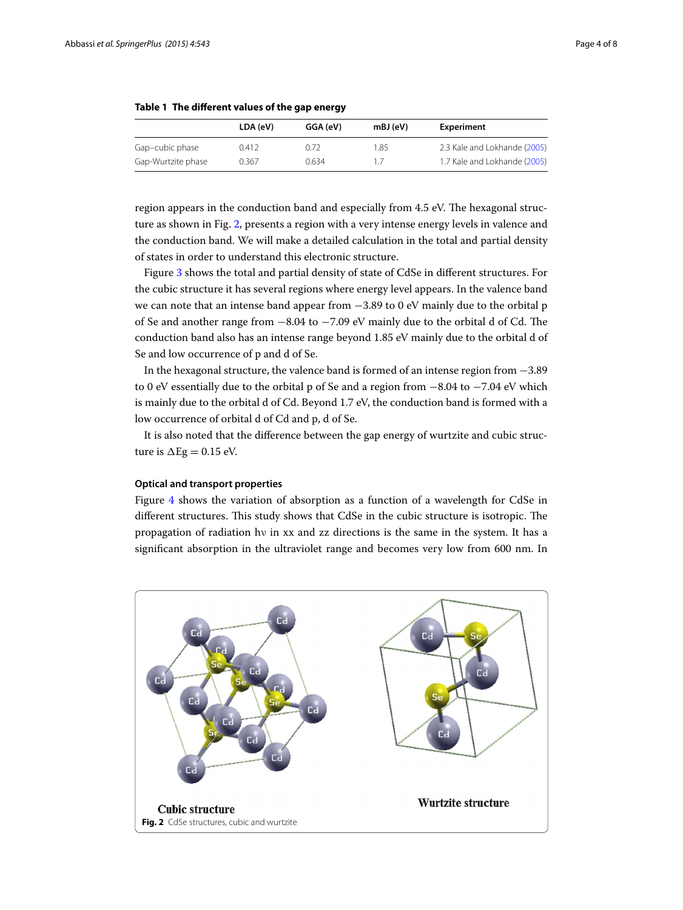|                    | LDA (eV) | GGA (eV) | $mBJ$ (eV) | Experiment                   |
|--------------------|----------|----------|------------|------------------------------|
| Gap-cubic phase    | 0.412    | 0.72     | 1.85       | 2.3 Kale and Lokhande (2005) |
| Gap-Wurtzite phase | 0.367    | 0.634    | 1/         | 1.7 Kale and Lokhande (2005) |

<span id="page-3-0"></span>**Table 1 The different values of the gap energy**

region appears in the conduction band and especially from 4.5 eV. The hexagonal structure as shown in Fig. [2,](#page-3-1) presents a region with a very intense energy levels in valence and the conduction band. We will make a detailed calculation in the total and partial density of states in order to understand this electronic structure.

Figure [3](#page-4-0) shows the total and partial density of state of CdSe in different structures. For the cubic structure it has several regions where energy level appears. In the valence band we can note that an intense band appear from −3.89 to 0 eV mainly due to the orbital p of Se and another range from −8.04 to −7.09 eV mainly due to the orbital d of Cd. The conduction band also has an intense range beyond 1.85 eV mainly due to the orbital d of Se and low occurrence of p and d of Se.

In the hexagonal structure, the valence band is formed of an intense region from −3.89 to 0 eV essentially due to the orbital p of Se and a region from −8.04 to −7.04 eV which is mainly due to the orbital d of Cd. Beyond 1.7 eV, the conduction band is formed with a low occurrence of orbital d of Cd and p, d of Se.

It is also noted that the difference between the gap energy of wurtzite and cubic structure is  $\Delta$ Eg = 0.15 eV.

### **Optical and transport properties**

Figure [4](#page-4-1) shows the variation of absorption as a function of a wavelength for CdSe in different structures. This study shows that CdSe in the cubic structure is isotropic. The propagation of radiation hν in xx and zz directions is the same in the system. It has a significant absorption in the ultraviolet range and becomes very low from 600 nm. In

<span id="page-3-1"></span>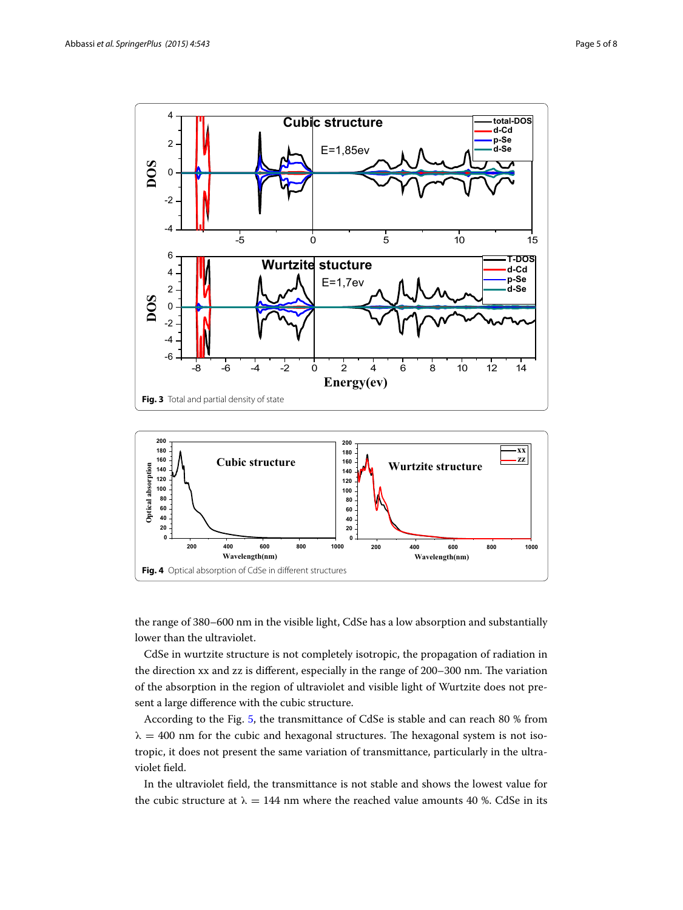

<span id="page-4-1"></span><span id="page-4-0"></span>the range of 380–600 nm in the visible light, CdSe has a low absorption and substantially lower than the ultraviolet.

CdSe in wurtzite structure is not completely isotropic, the propagation of radiation in the direction xx and zz is different, especially in the range of 200–300 nm. The variation of the absorption in the region of ultraviolet and visible light of Wurtzite does not present a large difference with the cubic structure.

According to the Fig. [5](#page-5-0), the transmittance of CdSe is stable and can reach 80 % from  $\lambda = 400$  nm for the cubic and hexagonal structures. The hexagonal system is not isotropic, it does not present the same variation of transmittance, particularly in the ultraviolet field.

In the ultraviolet field, the transmittance is not stable and shows the lowest value for the cubic structure at  $\lambda = 144$  nm where the reached value amounts 40 %. CdSe in its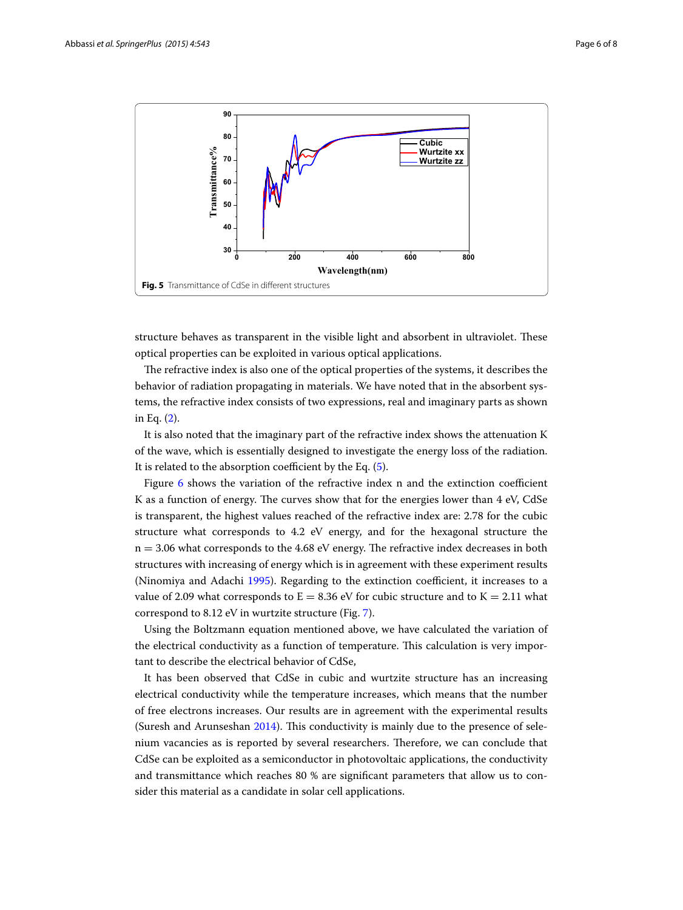

<span id="page-5-0"></span>structure behaves as transparent in the visible light and absorbent in ultraviolet. These optical properties can be exploited in various optical applications.

The refractive index is also one of the optical properties of the systems, it describes the behavior of radiation propagating in materials. We have noted that in the absorbent systems, the refractive index consists of two expressions, real and imaginary parts as shown in Eq. ([2](#page-1-0)).

It is also noted that the imaginary part of the refractive index shows the attenuation K of the wave, which is essentially designed to investigate the energy loss of the radiation. It is related to the absorption coefficient by the Eq. [\(5](#page-2-1)).

Figure [6](#page-6-0) shows the variation of the refractive index n and the extinction coefficient K as a function of energy. The curves show that for the energies lower than 4 eV, CdSe is transparent, the highest values reached of the refractive index are: 2.78 for the cubic structure what corresponds to 4.2 eV energy, and for the hexagonal structure the  $n = 3.06$  what corresponds to the 4.68 eV energy. The refractive index decreases in both structures with increasing of energy which is in agreement with these experiment results (Ninomiya and Adachi [1995\)](#page-7-19). Regarding to the extinction coefficient, it increases to a value of 2.09 what corresponds to  $E = 8.36$  eV for cubic structure and to  $K = 2.11$  what correspond to 8.12 eV in wurtzite structure (Fig. [7](#page-6-1)).

Using the Boltzmann equation mentioned above, we have calculated the variation of the electrical conductivity as a function of temperature. This calculation is very important to describe the electrical behavior of CdSe,

It has been observed that CdSe in cubic and wurtzite structure has an increasing electrical conductivity while the temperature increases, which means that the number of free electrons increases. Our results are in agreement with the experimental results (Suresh and Arunseshan [2014](#page-7-20)). This conductivity is mainly due to the presence of selenium vacancies as is reported by several researchers. Therefore, we can conclude that CdSe can be exploited as a semiconductor in photovoltaic applications, the conductivity and transmittance which reaches 80 % are significant parameters that allow us to consider this material as a candidate in solar cell applications.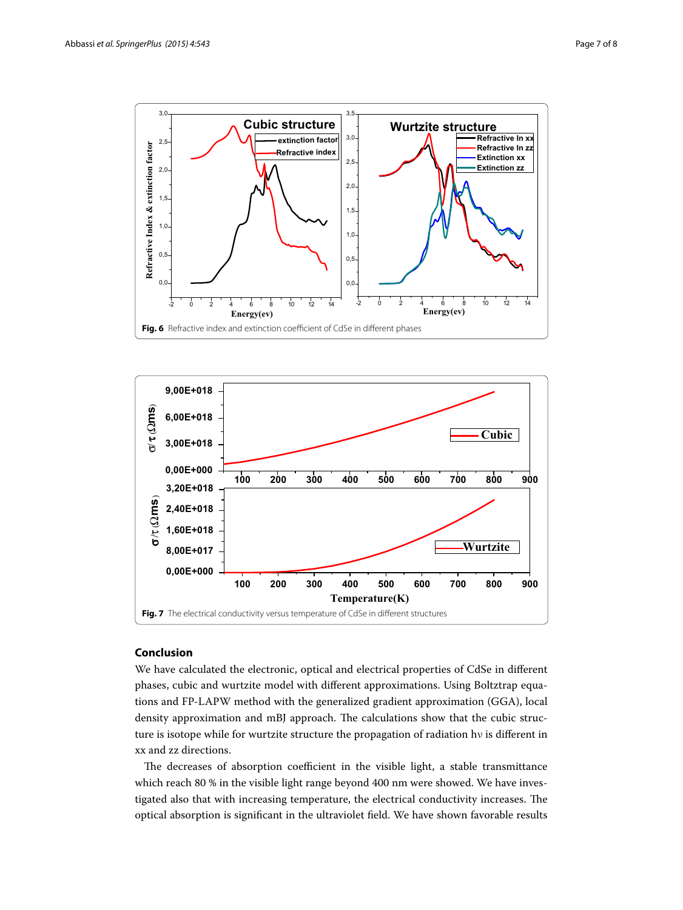

<span id="page-6-0"></span>

## <span id="page-6-1"></span>**Conclusion**

We have calculated the electronic, optical and electrical properties of CdSe in different phases, cubic and wurtzite model with different approximations. Using Boltztrap equations and FP-LAPW method with the generalized gradient approximation (GGA), local density approximation and mBJ approach. The calculations show that the cubic structure is isotope while for wurtzite structure the propagation of radiation hν is different in xx and zz directions.

The decreases of absorption coefficient in the visible light, a stable transmittance which reach 80 % in the visible light range beyond 400 nm were showed. We have investigated also that with increasing temperature, the electrical conductivity increases. The optical absorption is significant in the ultraviolet field. We have shown favorable results